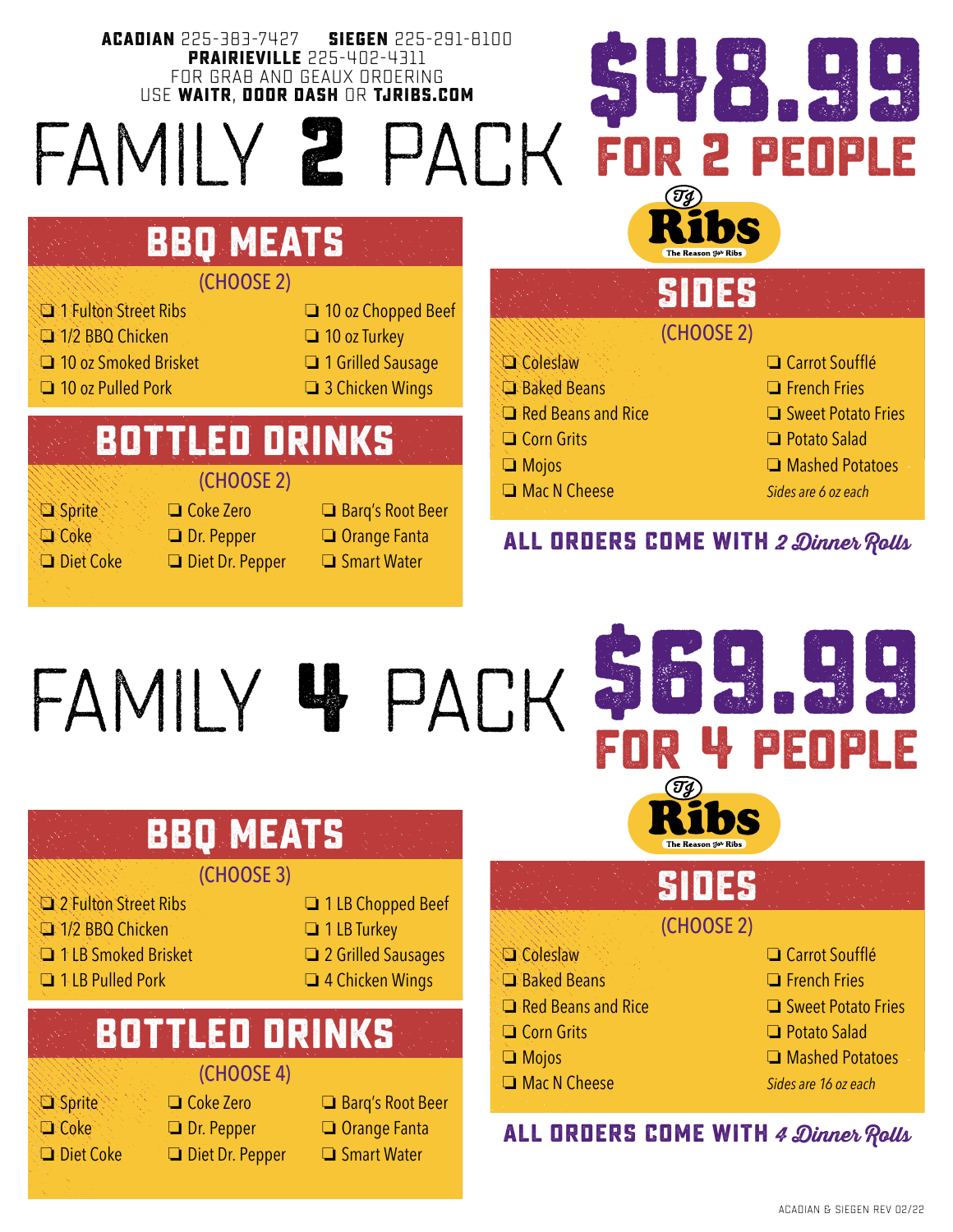### **ACADIAN** 225-383-7427 **SIEGEN** 225-291-8100 **\$48.99 PRAIRIEVILLE** 225-402-4311 FOR GRAB AND GEAUX ORDERING USE **WAITR**, **DOOR DASH** OR **TJRIBS.COM** family **2** pack **for 2 people** hS **bbq meats**

### (CHOOSE 2)

- **C** 1 Fulton Street Ribs **D** 10 oz Chopped Beef
- **o 1/2 BBQ Chicken o 10 oz Turkey**
- **O** 10 oz Smoked Brisket **O** 1 Grilled Sausage
- $\Box$  10 oz Pulled Pork  $\Box$  3 Chicken Wings
- 
- 
- 

# **bottled drinks**

### (CHOOSE 2)

- o Sprite o Coke Zero o Barq's Root Beer
- 
- 
- 
- **Coke Dr. Pepper Orange Fanta**
- $\Box$  Diet Coke  $\Box$  Diet Dr. Pepper  $\Box$  Smart Water

## $\Box$  Coleslaw  $\Box$  Carrot Soufflé **CI** Baked Beans **O** French Fries (CHOOSE 2) **SIDES**

- 
- 
- 
- 
- 
- 
- $\Box$  Red Beans and Rice  $\Box$  Sweet Potato Fries
- $\Box$  Corn Grits  $\Box$  Potato Salad
- **O Mojos O Mashed Potatoes**
- o Mac N Cheese *Sides are 6 oz each*

### **ALL ORDERS COME WITH 2 Dinner Rolls**

# family **4** pack

# **bbq meats**

### (CHOOSE 3)

- o 2 Fulton Street Ribs o 1 LB Chopped Beef
- **C** 1/2 BBQ Chicken **D** 1 LB Turkey
- **O** 1 LB Smoked Brisket **C** 2 Grilled Sausages
- **O** 1 LB Pulled Pork **Canadian Canadian Port Canadian** 4 Chicken Wings
- 
- 
- -

## (CHOOSE 4) **bottled drinks**

- 
- 
- 
- **Coke Dr. Pepper D** Orange Fanta  $\Box$  Diet Coke  $\Box$  Diet Dr. Pepper  $\Box$  Smart Water
- o Sprite o Coke Zero o Barq's Root Beer
	-
	-

# **for 4 people**

**\$69.99**

# **SIDES**

(CHOOSE 2)

- $\Box$  Coleslaw  $\Box$  Carrot Soufflé
- **CI** Baked Beans **O** French Fries
- $\Box$  Red Beans and Rice  $\Box$  Sweet Potato Fries
- $\Box$  Corn Grits  $\Box$  Potato Salad
- **O Mojos O Mashed Potatoes**
- o Mac N Cheese *Sides are 16 oz each*

# **ALL ORDERS COME WITH 4 Dinner Rolls**

ACADIAN & SIEGEN REV 02/22